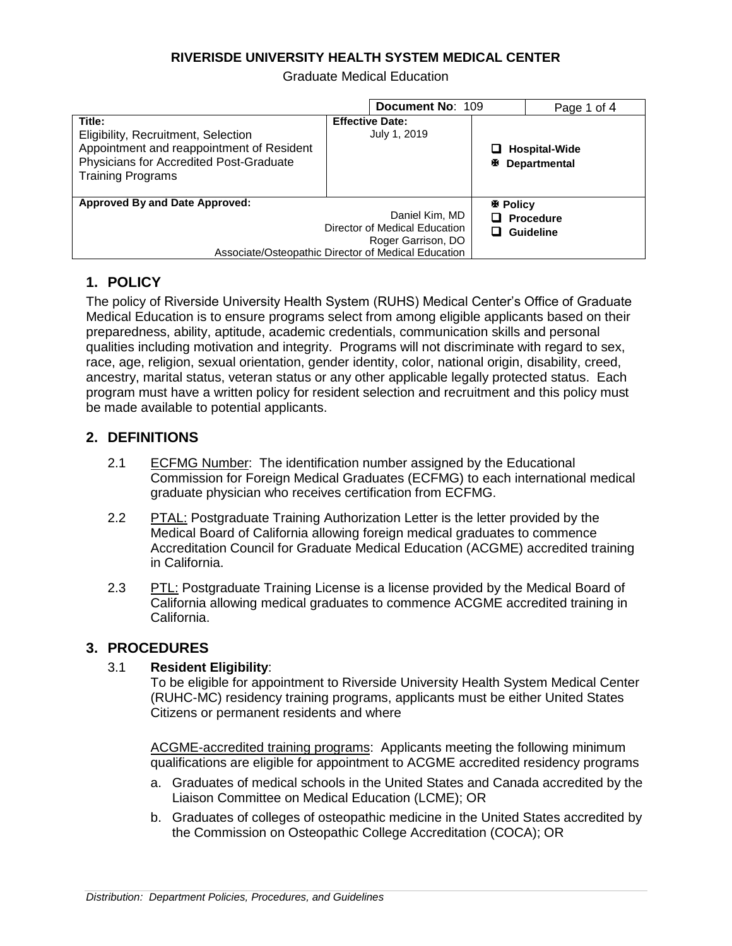### **RIVERISDE UNIVERSITY HEALTH SYSTEM MEDICAL CENTER**

Graduate Medical Education

|                                                                                                                                                                   | Document No: 109                                                                                                             |                      | Page 1 of 4                                 |
|-------------------------------------------------------------------------------------------------------------------------------------------------------------------|------------------------------------------------------------------------------------------------------------------------------|----------------------|---------------------------------------------|
| Title:<br>Eligibility, Recruitment, Selection<br>Appointment and reappointment of Resident<br>Physicians for Accredited Post-Graduate<br><b>Training Programs</b> | <b>Effective Date:</b><br>July 1, 2019                                                                                       | Æ.                   | $\Box$ Hospital-Wide<br><b>Departmental</b> |
| <b>Approved By and Date Approved:</b>                                                                                                                             | Daniel Kim, MD<br>Director of Medical Education<br>Roger Garrison, DO<br>Associate/Osteopathic Director of Medical Education | <b>图 Policy</b><br>◻ | $\Box$ Procedure<br><b>Guideline</b>        |

# **1. POLICY**

The policy of Riverside University Health System (RUHS) Medical Center's Office of Graduate Medical Education is to ensure programs select from among eligible applicants based on their preparedness, ability, aptitude, academic credentials, communication skills and personal qualities including motivation and integrity. Programs will not discriminate with regard to sex, race, age, religion, sexual orientation, gender identity, color, national origin, disability, creed, ancestry, marital status, veteran status or any other applicable legally protected status. Each program must have a written policy for resident selection and recruitment and this policy must be made available to potential applicants.

## **2. DEFINITIONS**

- 2.1 ECFMG Number: The identification number assigned by the Educational Commission for Foreign Medical Graduates (ECFMG) to each international medical graduate physician who receives certification from ECFMG.
- 2.2 PTAL: Postgraduate Training Authorization Letter is the letter provided by the Medical Board of California allowing foreign medical graduates to commence Accreditation Council for Graduate Medical Education (ACGME) accredited training in California.
- 2.3 PTL: Postgraduate Training License is a license provided by the Medical Board of California allowing medical graduates to commence ACGME accredited training in California.

## **3. PROCEDURES**

### 3.1 **Resident Eligibility**:

To be eligible for appointment to Riverside University Health System Medical Center (RUHC-MC) residency training programs, applicants must be either United States Citizens or permanent residents and where

ACGME-accredited training programs: Applicants meeting the following minimum qualifications are eligible for appointment to ACGME accredited residency programs

- a. Graduates of medical schools in the United States and Canada accredited by the Liaison Committee on Medical Education (LCME); OR
- b. Graduates of colleges of osteopathic medicine in the United States accredited by the Commission on Osteopathic College Accreditation (COCA); OR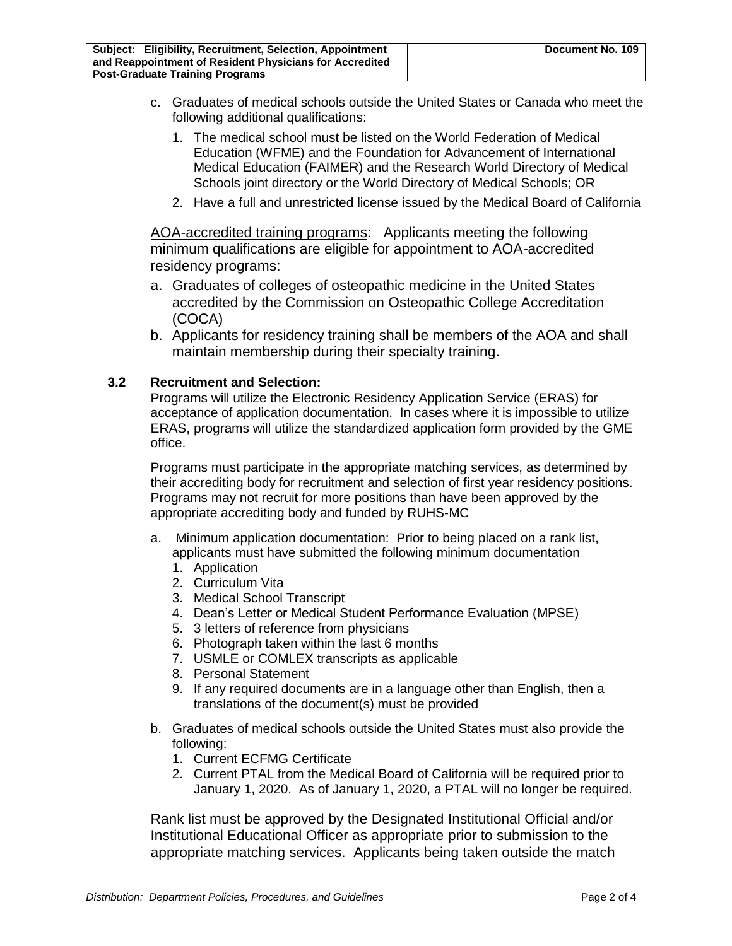- c. Graduates of medical schools outside the United States or Canada who meet the following additional qualifications:
	- 1. The medical school must be listed on the World Federation of Medical Education (WFME) and the Foundation for Advancement of International Medical Education (FAIMER) and the Research World Directory of Medical Schools joint directory or the World Directory of Medical Schools; OR
	- 2. Have a full and unrestricted license issued by the Medical Board of California

AOA-accredited training programs: Applicants meeting the following minimum qualifications are eligible for appointment to AOA-accredited residency programs:

- a. Graduates of colleges of osteopathic medicine in the United States accredited by the Commission on Osteopathic College Accreditation (COCA)
- b. Applicants for residency training shall be members of the AOA and shall maintain membership during their specialty training.

#### **3.2 Recruitment and Selection:**

Programs will utilize the Electronic Residency Application Service (ERAS) for acceptance of application documentation. In cases where it is impossible to utilize ERAS, programs will utilize the standardized application form provided by the GME office.

Programs must participate in the appropriate matching services, as determined by their accrediting body for recruitment and selection of first year residency positions. Programs may not recruit for more positions than have been approved by the appropriate accrediting body and funded by RUHS-MC

- a. Minimum application documentation: Prior to being placed on a rank list, applicants must have submitted the following minimum documentation
	- 1. Application
	- 2. Curriculum Vita
	- 3. Medical School Transcript
	- 4. Dean's Letter or Medical Student Performance Evaluation (MPSE)
	- 5. 3 letters of reference from physicians
	- 6. Photograph taken within the last 6 months
	- 7. USMLE or COMLEX transcripts as applicable
	- 8. Personal Statement
	- 9. If any required documents are in a language other than English, then a translations of the document(s) must be provided
- b. Graduates of medical schools outside the United States must also provide the following:
	- 1. Current ECFMG Certificate
	- 2. Current PTAL from the Medical Board of California will be required prior to January 1, 2020. As of January 1, 2020, a PTAL will no longer be required.

Rank list must be approved by the Designated Institutional Official and/or Institutional Educational Officer as appropriate prior to submission to the appropriate matching services. Applicants being taken outside the match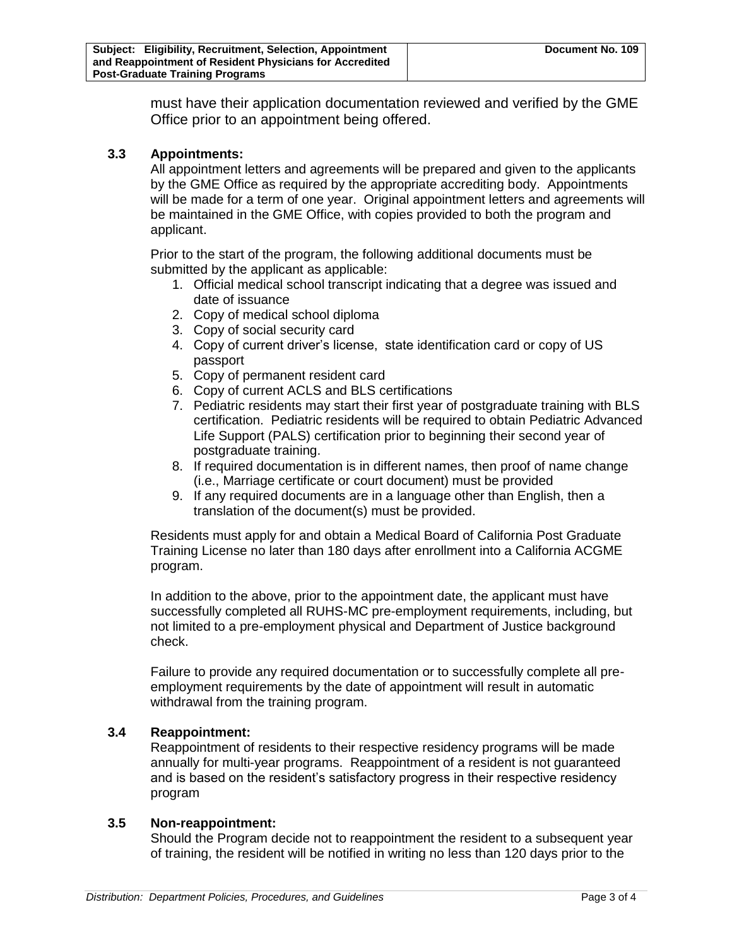must have their application documentation reviewed and verified by the GME Office prior to an appointment being offered.

#### **3.3 Appointments:**

All appointment letters and agreements will be prepared and given to the applicants by the GME Office as required by the appropriate accrediting body. Appointments will be made for a term of one year. Original appointment letters and agreements will be maintained in the GME Office, with copies provided to both the program and applicant.

Prior to the start of the program, the following additional documents must be submitted by the applicant as applicable:

- 1. Official medical school transcript indicating that a degree was issued and date of issuance
- 2. Copy of medical school diploma
- 3. Copy of social security card
- 4. Copy of current driver's license, state identification card or copy of US passport
- 5. Copy of permanent resident card
- 6. Copy of current ACLS and BLS certifications
- 7. Pediatric residents may start their first year of postgraduate training with BLS certification. Pediatric residents will be required to obtain Pediatric Advanced Life Support (PALS) certification prior to beginning their second year of postgraduate training.
- 8. If required documentation is in different names, then proof of name change (i.e., Marriage certificate or court document) must be provided
- 9. If any required documents are in a language other than English, then a translation of the document(s) must be provided.

Residents must apply for and obtain a Medical Board of California Post Graduate Training License no later than 180 days after enrollment into a California ACGME program.

In addition to the above, prior to the appointment date, the applicant must have successfully completed all RUHS-MC pre-employment requirements, including, but not limited to a pre-employment physical and Department of Justice background check.

Failure to provide any required documentation or to successfully complete all preemployment requirements by the date of appointment will result in automatic withdrawal from the training program.

#### **3.4 Reappointment:**

Reappointment of residents to their respective residency programs will be made annually for multi-year programs. Reappointment of a resident is not guaranteed and is based on the resident's satisfactory progress in their respective residency program

#### **3.5 Non-reappointment:**

Should the Program decide not to reappointment the resident to a subsequent year of training, the resident will be notified in writing no less than 120 days prior to the